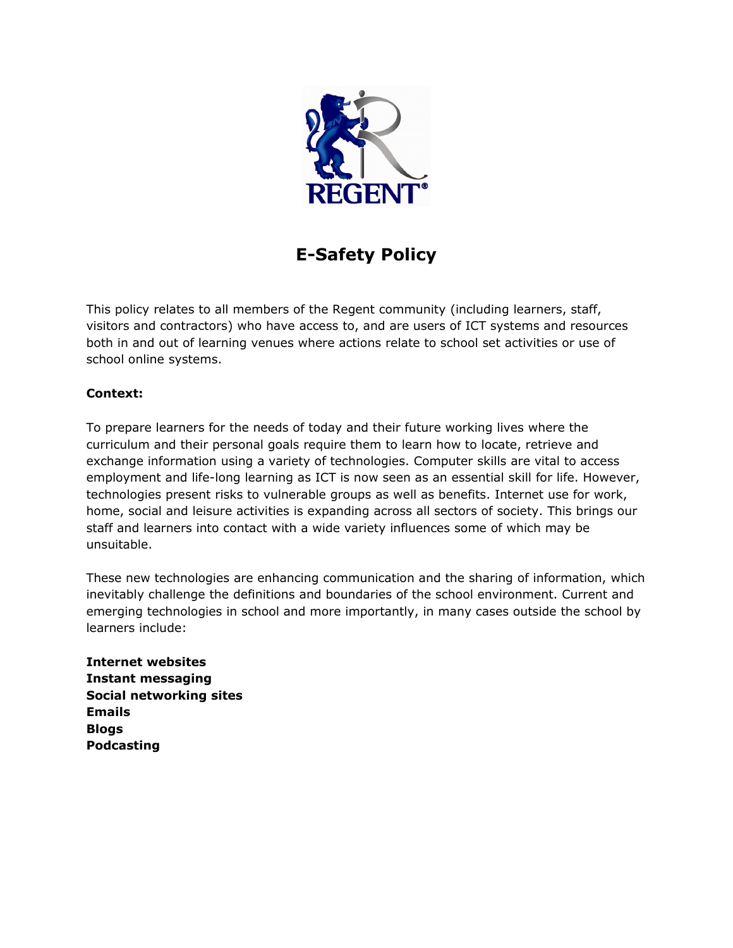

# **E-Safety Policy**

This policy relates to all members of the Regent community (including learners, staff, visitors and contractors) who have access to, and are users of ICT systems and resources both in and out of learning venues where actions relate to school set activities or use of school online systems.

# **Context:**

To prepare learners for the needs of today and their future working lives where the curriculum and their personal goals require them to learn how to locate, retrieve and exchange information using a variety of technologies. Computer skills are vital to access employment and life-long learning as ICT is now seen as an essential skill for life. However, technologies present risks to vulnerable groups as well as benefits. Internet use for work, home, social and leisure activities is expanding across all sectors of society. This brings our staff and learners into contact with a wide variety influences some of which may be unsuitable.

These new technologies are enhancing communication and the sharing of information, which inevitably challenge the definitions and boundaries of the school environment. Current and emerging technologies in school and more importantly, in many cases outside the school by learners include:

**Internet websites Instant messaging Social networking sites Emails Blogs Podcasting**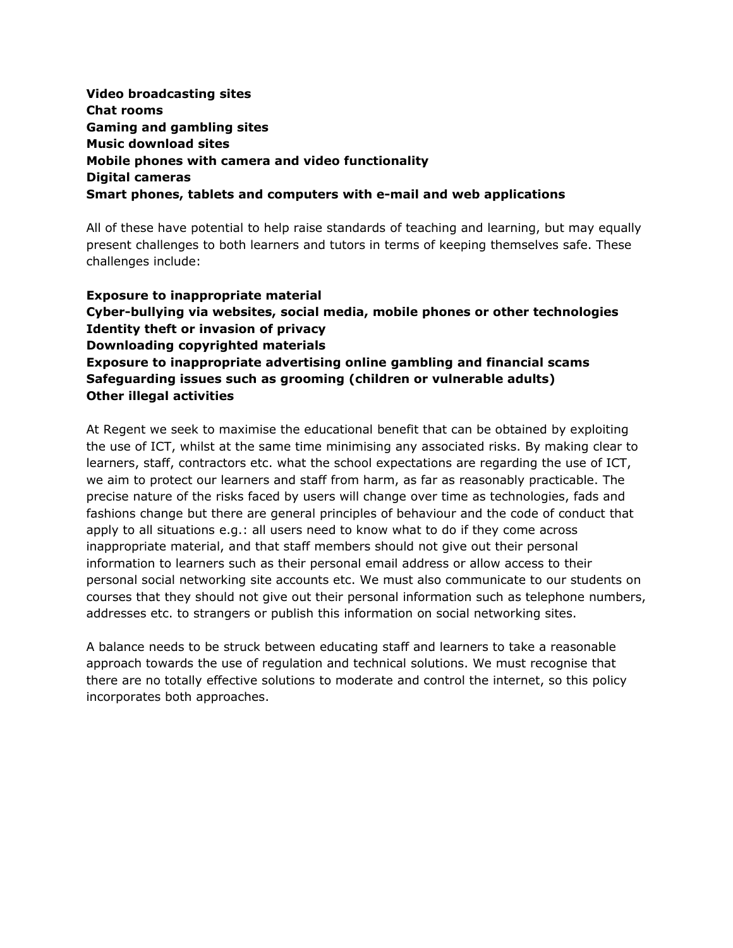# **Video broadcasting sites Chat rooms Gaming and gambling sites Music download sites Mobile phones with camera and video functionality Digital cameras Smart phones, tablets and computers with e-mail and web applications**

All of these have potential to help raise standards of teaching and learning, but may equally present challenges to both learners and tutors in terms of keeping themselves safe. These challenges include:

**Exposure to inappropriate material Cyber-bullying via websites, social media, mobile phones or other technologies Identity theft or invasion of privacy Downloading copyrighted materials Exposure to inappropriate advertising online gambling and financial scams Safeguarding issues such as grooming (children or vulnerable adults) Other illegal activities**

At Regent we seek to maximise the educational benefit that can be obtained by exploiting the use of ICT, whilst at the same time minimising any associated risks. By making clear to learners, staff, contractors etc. what the school expectations are regarding the use of ICT, we aim to protect our learners and staff from harm, as far as reasonably practicable. The precise nature of the risks faced by users will change over time as technologies, fads and fashions change but there are general principles of behaviour and the code of conduct that apply to all situations e.g.: all users need to know what to do if they come across inappropriate material, and that staff members should not give out their personal information to learners such as their personal email address or allow access to their personal social networking site accounts etc. We must also communicate to our students on courses that they should not give out their personal information such as telephone numbers, addresses etc. to strangers or publish this information on social networking sites.

A balance needs to be struck between educating staff and learners to take a reasonable approach towards the use of regulation and technical solutions. We must recognise that there are no totally effective solutions to moderate and control the internet, so this policy incorporates both approaches.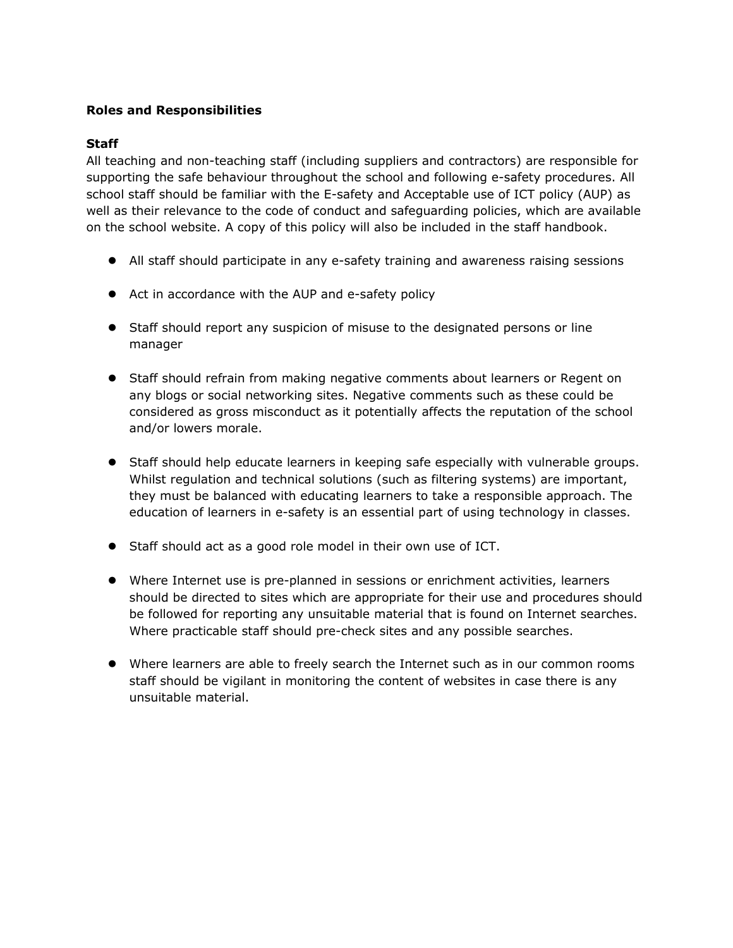## **Roles and Responsibilities**

#### **Staff**

All teaching and non-teaching staff (including suppliers and contractors) are responsible for supporting the safe behaviour throughout the school and following e-safety procedures. All school staff should be familiar with the E-safety and Acceptable use of ICT policy (AUP) as well as their relevance to the code of conduct and safeguarding policies, which are available on the school website. A copy of this policy will also be included in the staff handbook.

- All staff should participate in any e-safety training and awareness raising sessions
- Act in accordance with the AUP and e-safety policy
- Staff should report any suspicion of misuse to the designated persons or line manager
- Staff should refrain from making negative comments about learners or Regent on any blogs or social networking sites. Negative comments such as these could be considered as gross misconduct as it potentially affects the reputation of the school and/or lowers morale.
- Staff should help educate learners in keeping safe especially with vulnerable groups. Whilst regulation and technical solutions (such as filtering systems) are important, they must be balanced with educating learners to take a responsible approach. The education of learners in e-safety is an essential part of using technology in classes.
- Staff should act as a good role model in their own use of ICT.
- Where Internet use is pre-planned in sessions or enrichment activities, learners should be directed to sites which are appropriate for their use and procedures should be followed for reporting any unsuitable material that is found on Internet searches. Where practicable staff should pre-check sites and any possible searches.
- Where learners are able to freely search the Internet such as in our common rooms staff should be vigilant in monitoring the content of websites in case there is any unsuitable material.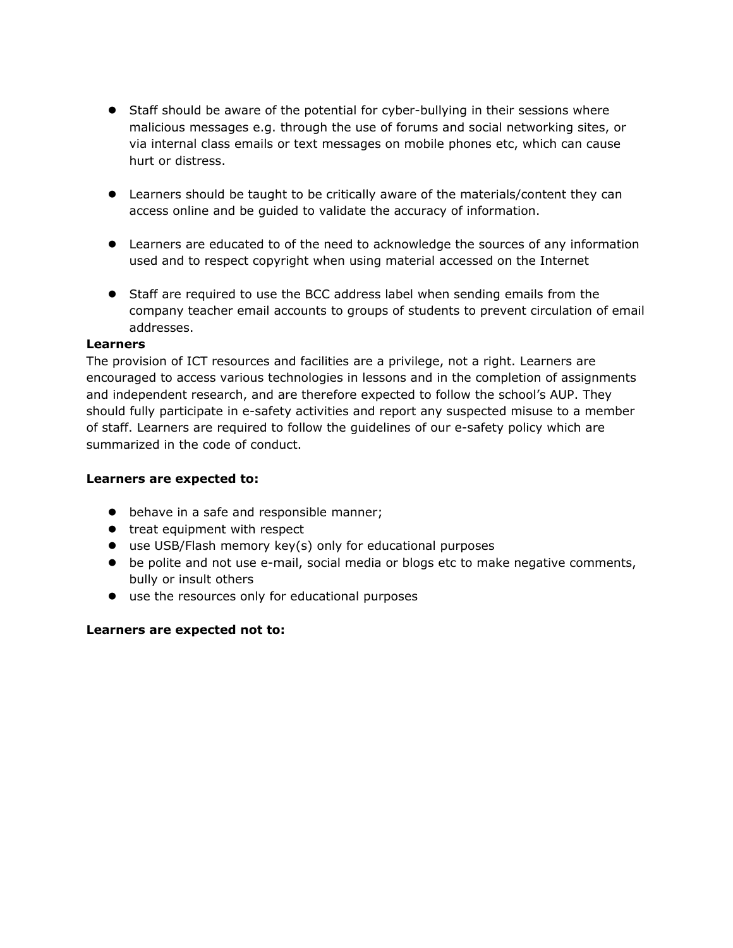- Staff should be aware of the potential for cyber-bullying in their sessions where malicious messages e.g. through the use of forums and social networking sites, or via internal class emails or text messages on mobile phones etc, which can cause hurt or distress.
- Learners should be taught to be critically aware of the materials/content they can access online and be guided to validate the accuracy of information.
- Learners are educated to of the need to acknowledge the sources of any information used and to respect copyright when using material accessed on the Internet
- Staff are required to use the BCC address label when sending emails from the company teacher email accounts to groups of students to prevent circulation of email addresses.

#### **Learners**

The provision of ICT resources and facilities are a privilege, not a right. Learners are encouraged to access various technologies in lessons and in the completion of assignments and independent research, and are therefore expected to follow the school's AUP. They should fully participate in e-safety activities and report any suspected misuse to a member of staff. Learners are required to follow the guidelines of our e-safety policy which are summarized in the code of conduct.

## **Learners are expected to:**

- $\bullet$  behave in a safe and responsible manner;
- treat equipment with respect
- use USB/Flash memory key(s) only for educational purposes
- be polite and not use e-mail, social media or blogs etc to make negative comments, bully or insult others
- use the resources only for educational purposes

## **Learners are expected not to:**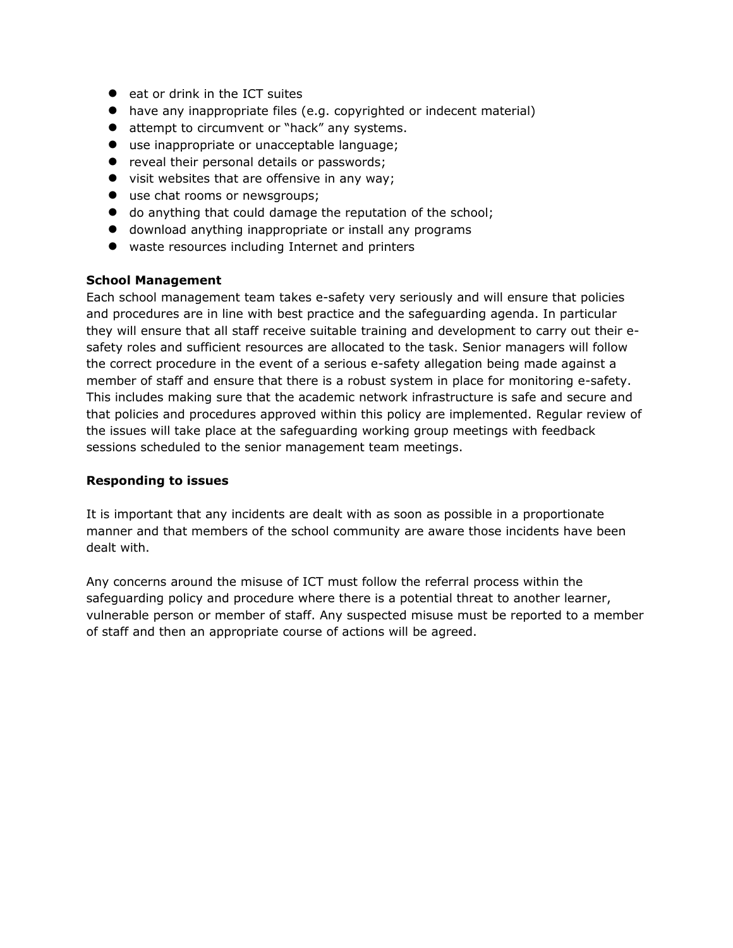- eat or drink in the ICT suites
- have any inappropriate files (e.g. copyrighted or indecent material)
- attempt to circumvent or "hack" any systems.
- use inappropriate or unacceptable language;
- **•** reveal their personal details or passwords;
- visit websites that are offensive in any way;
- use chat rooms or newsgroups;
- do anything that could damage the reputation of the school;
- download anything inappropriate or install any programs
- waste resources including Internet and printers

#### **School Management**

Each school management team takes e-safety very seriously and will ensure that policies and procedures are in line with best practice and the safeguarding agenda. In particular they will ensure that all staff receive suitable training and development to carry out their esafety roles and sufficient resources are allocated to the task. Senior managers will follow the correct procedure in the event of a serious e-safety allegation being made against a member of staff and ensure that there is a robust system in place for monitoring e-safety. This includes making sure that the academic network infrastructure is safe and secure and that policies and procedures approved within this policy are implemented. Regular review of the issues will take place at the safeguarding working group meetings with feedback sessions scheduled to the senior management team meetings.

#### **Responding to issues**

It is important that any incidents are dealt with as soon as possible in a proportionate manner and that members of the school community are aware those incidents have been dealt with.

Any concerns around the misuse of ICT must follow the referral process within the safeguarding policy and procedure where there is a potential threat to another learner, vulnerable person or member of staff. Any suspected misuse must be reported to a member of staff and then an appropriate course of actions will be agreed.